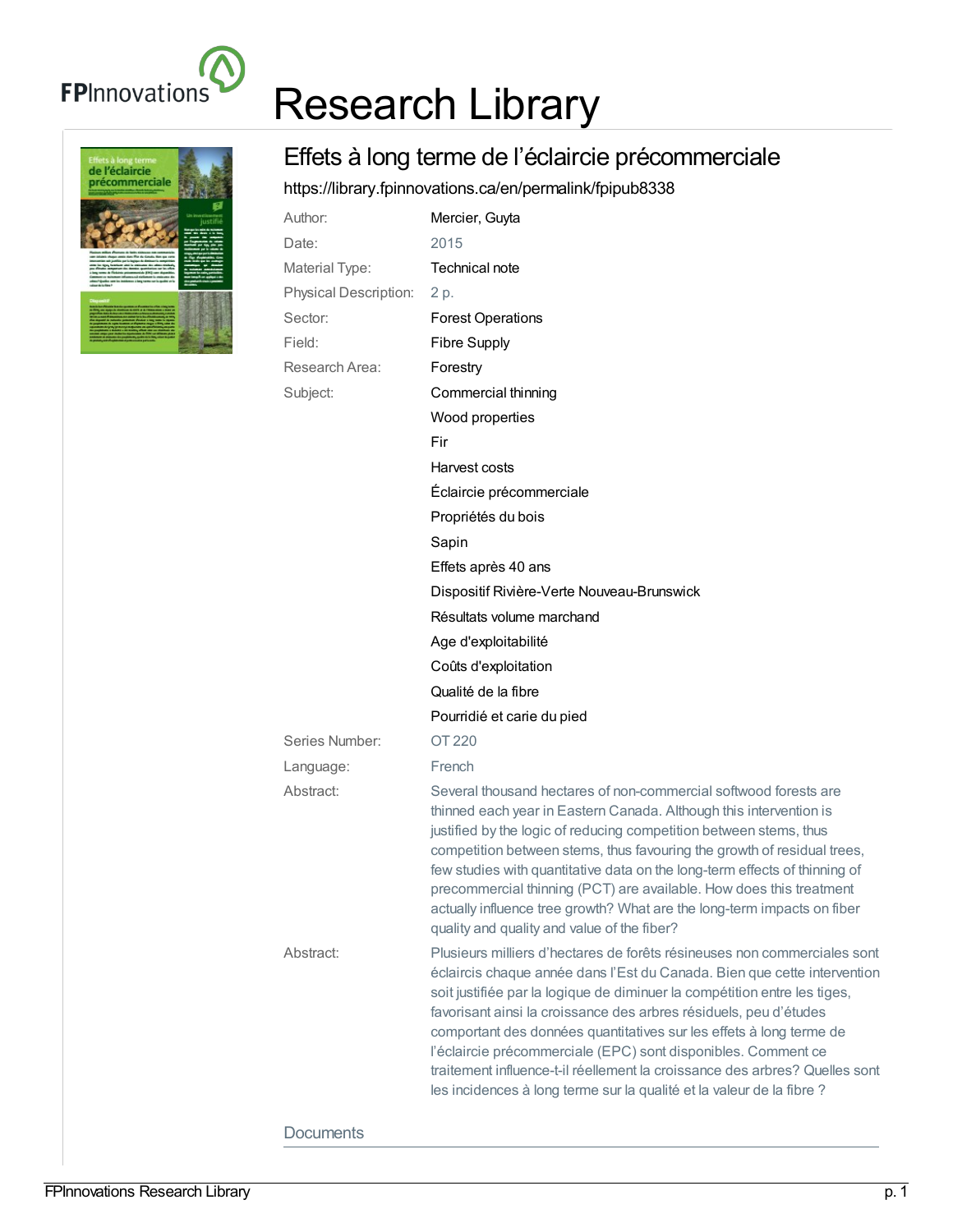

## Research Library

## Effets à long terme de l'éclaircie précommerciale

<https://library.fpinnovations.ca/en/permalink/fpipub8338>

| Author:               | Mercier, Guyta                                                                                                                                                                                                                                                                                                                                                                                                                                                                                                                                                                                         |
|-----------------------|--------------------------------------------------------------------------------------------------------------------------------------------------------------------------------------------------------------------------------------------------------------------------------------------------------------------------------------------------------------------------------------------------------------------------------------------------------------------------------------------------------------------------------------------------------------------------------------------------------|
| Date:                 | 2015                                                                                                                                                                                                                                                                                                                                                                                                                                                                                                                                                                                                   |
| Material Type:        | Technical note                                                                                                                                                                                                                                                                                                                                                                                                                                                                                                                                                                                         |
| Physical Description: | 2 p.                                                                                                                                                                                                                                                                                                                                                                                                                                                                                                                                                                                                   |
| Sector:               | <b>Forest Operations</b>                                                                                                                                                                                                                                                                                                                                                                                                                                                                                                                                                                               |
| Field:                | <b>Fibre Supply</b>                                                                                                                                                                                                                                                                                                                                                                                                                                                                                                                                                                                    |
| Research Area:        | Forestry                                                                                                                                                                                                                                                                                                                                                                                                                                                                                                                                                                                               |
| Subject:              | Commercial thinning                                                                                                                                                                                                                                                                                                                                                                                                                                                                                                                                                                                    |
|                       | Wood properties                                                                                                                                                                                                                                                                                                                                                                                                                                                                                                                                                                                        |
|                       | Fir                                                                                                                                                                                                                                                                                                                                                                                                                                                                                                                                                                                                    |
|                       | Harvest costs                                                                                                                                                                                                                                                                                                                                                                                                                                                                                                                                                                                          |
|                       | Éclaircie précommerciale                                                                                                                                                                                                                                                                                                                                                                                                                                                                                                                                                                               |
|                       | Propriétés du bois                                                                                                                                                                                                                                                                                                                                                                                                                                                                                                                                                                                     |
|                       | Sapin                                                                                                                                                                                                                                                                                                                                                                                                                                                                                                                                                                                                  |
|                       | Effets après 40 ans                                                                                                                                                                                                                                                                                                                                                                                                                                                                                                                                                                                    |
|                       | Dispositif Rivière-Verte Nouveau-Brunswick                                                                                                                                                                                                                                                                                                                                                                                                                                                                                                                                                             |
|                       | Résultats volume marchand                                                                                                                                                                                                                                                                                                                                                                                                                                                                                                                                                                              |
|                       | Age d'exploitabilité                                                                                                                                                                                                                                                                                                                                                                                                                                                                                                                                                                                   |
|                       | Coûts d'exploitation                                                                                                                                                                                                                                                                                                                                                                                                                                                                                                                                                                                   |
|                       | Qualité de la fibre                                                                                                                                                                                                                                                                                                                                                                                                                                                                                                                                                                                    |
|                       | Pourridié et carie du pied                                                                                                                                                                                                                                                                                                                                                                                                                                                                                                                                                                             |
| Series Number:        | OT 220                                                                                                                                                                                                                                                                                                                                                                                                                                                                                                                                                                                                 |
| Language:             | French                                                                                                                                                                                                                                                                                                                                                                                                                                                                                                                                                                                                 |
| Abstract:             | Several thousand hectares of non-commercial softwood forests are<br>thinned each year in Eastern Canada. Although this intervention is<br>justified by the logic of reducing competition between stems, thus<br>competition between stems, thus favouring the growth of residual trees,<br>few studies with quantitative data on the long-term effects of thinning of<br>precommercial thinning (PCT) are available. How does this treatment<br>actually influence tree growth? What are the long-term impacts on fiber<br>quality and quality and value of the fiber?                                 |
| Abstract:             | Plusieurs milliers d'hectares de forêts résineuses non commerciales sont<br>éclaircis chaque année dans l'Est du Canada. Bien que cette intervention<br>soit justifiée par la logique de diminuer la compétition entre les tiges,<br>favorisant ainsi la croissance des arbres résiduels, peu d'études<br>comportant des données quantitatives sur les effets à long terme de<br>l'éclaircie précommerciale (EPC) sont disponibles. Comment ce<br>traitement influence-t-il réellement la croissance des arbres? Quelles sont<br>les incidences à long terme sur la qualité et la valeur de la fibre ? |



**Documents**